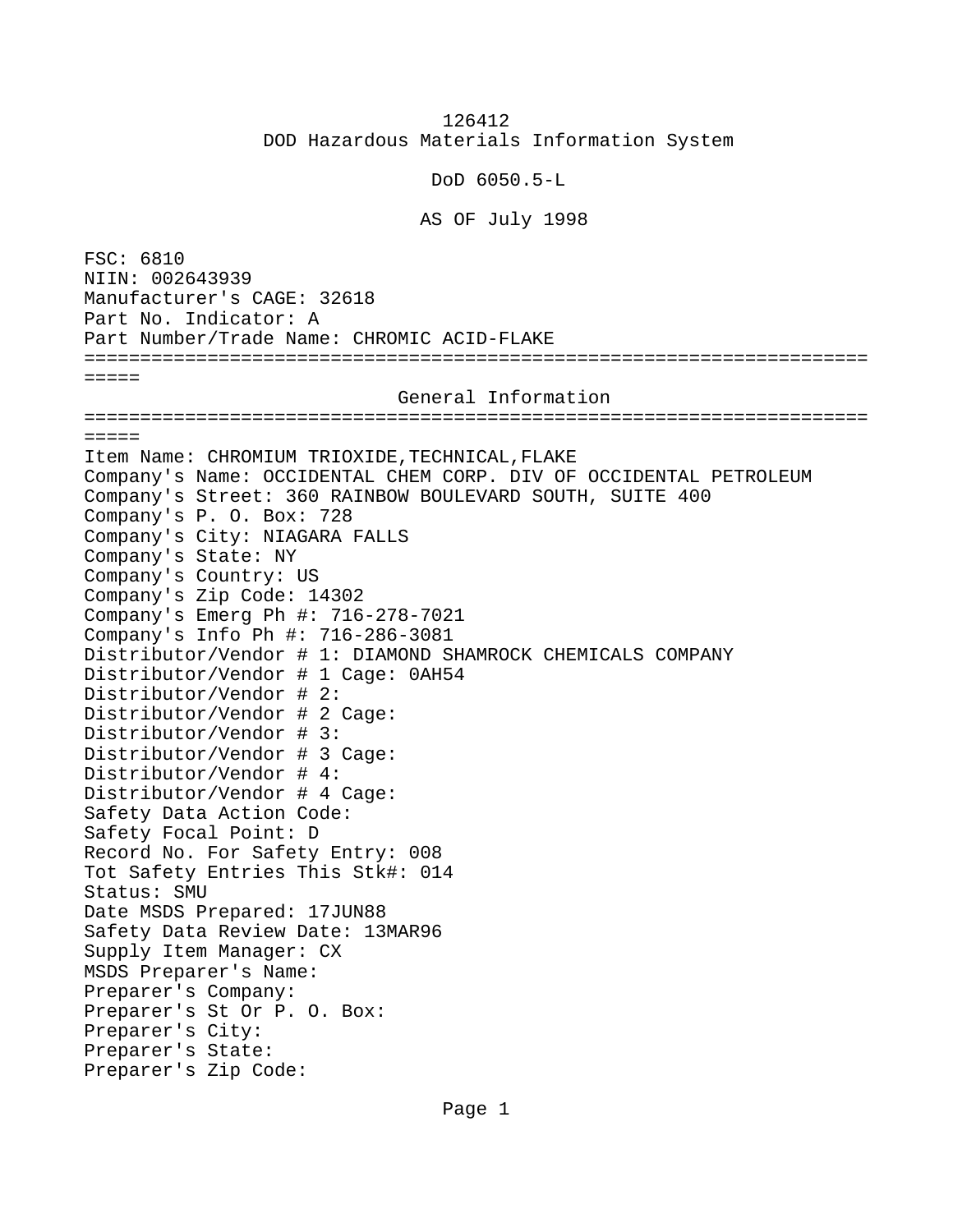126412 DOD Hazardous Materials Information System

DoD 6050.5-L

AS OF July 1998

FSC: 6810 NIIN: 002643939 Manufacturer's CAGE: 32618 Part No. Indicator: A Part Number/Trade Name: CHROMIC ACID-FLAKE ======================================================================  $=$   $=$   $=$   $=$  General Information ======================================================================  $=$   $=$   $=$   $=$ Item Name: CHROMIUM TRIOXIDE,TECHNICAL,FLAKE Company's Name: OCCIDENTAL CHEM CORP. DIV OF OCCIDENTAL PETROLEUM Company's Street: 360 RAINBOW BOULEVARD SOUTH, SUITE 400 Company's P. O. Box: 728 Company's City: NIAGARA FALLS Company's State: NY Company's Country: US Company's Zip Code: 14302 Company's Emerg Ph #: 716-278-7021 Company's Info Ph #: 716-286-3081 Distributor/Vendor # 1: DIAMOND SHAMROCK CHEMICALS COMPANY Distributor/Vendor # 1 Cage: 0AH54 Distributor/Vendor # 2: Distributor/Vendor # 2 Cage: Distributor/Vendor # 3: Distributor/Vendor # 3 Cage: Distributor/Vendor # 4: Distributor/Vendor # 4 Cage: Safety Data Action Code: Safety Focal Point: D Record No. For Safety Entry: 008 Tot Safety Entries This Stk#: 014 Status: SMU Date MSDS Prepared: 17JUN88 Safety Data Review Date: 13MAR96 Supply Item Manager: CX MSDS Preparer's Name: Preparer's Company: Preparer's St Or P. O. Box: Preparer's City: Preparer's State: Preparer's Zip Code: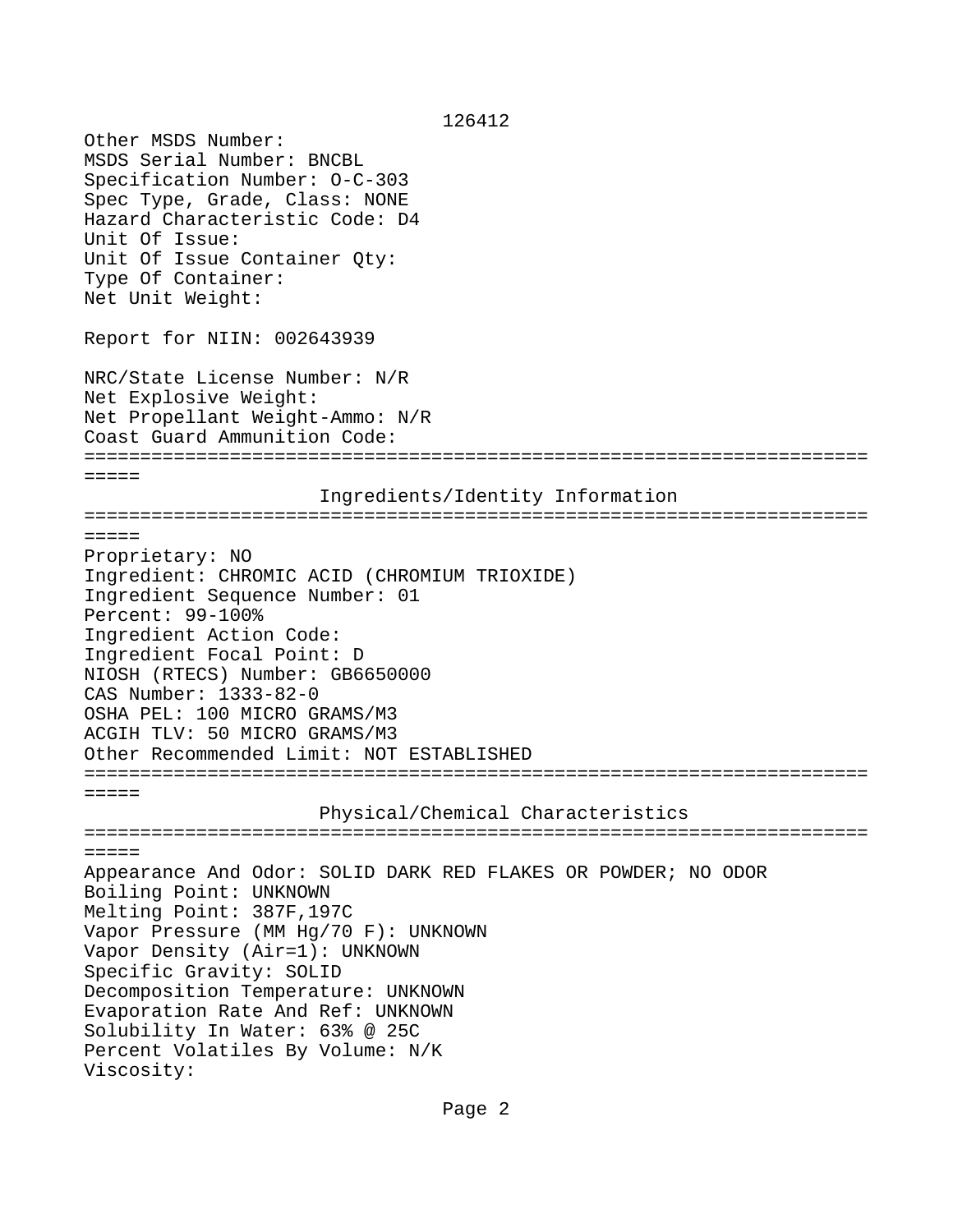126412 Other MSDS Number: MSDS Serial Number: BNCBL Specification Number: O-C-303 Spec Type, Grade, Class: NONE Hazard Characteristic Code: D4 Unit Of Issue: Unit Of Issue Container Qty: Type Of Container: Net Unit Weight: Report for NIIN: 002643939 NRC/State License Number: N/R Net Explosive Weight: Net Propellant Weight-Ammo: N/R Coast Guard Ammunition Code: ====================================================================== ===== Ingredients/Identity Information ======================================================================  $=$   $=$   $=$   $=$ Proprietary: NO Ingredient: CHROMIC ACID (CHROMIUM TRIOXIDE) Ingredient Sequence Number: 01 Percent: 99-100% Ingredient Action Code: Ingredient Focal Point: D NIOSH (RTECS) Number: GB6650000 CAS Number: 1333-82-0 OSHA PEL: 100 MICRO GRAMS/M3 ACGIH TLV: 50 MICRO GRAMS/M3 Other Recommended Limit: NOT ESTABLISHED ====================================================================== ===== Physical/Chemical Characteristics ======================================================================  $=$ Appearance And Odor: SOLID DARK RED FLAKES OR POWDER; NO ODOR Boiling Point: UNKNOWN Melting Point: 387F,197C Vapor Pressure (MM Hg/70 F): UNKNOWN Vapor Density (Air=1): UNKNOWN Specific Gravity: SOLID Decomposition Temperature: UNKNOWN Evaporation Rate And Ref: UNKNOWN Solubility In Water: 63% @ 25C Percent Volatiles By Volume: N/K Viscosity: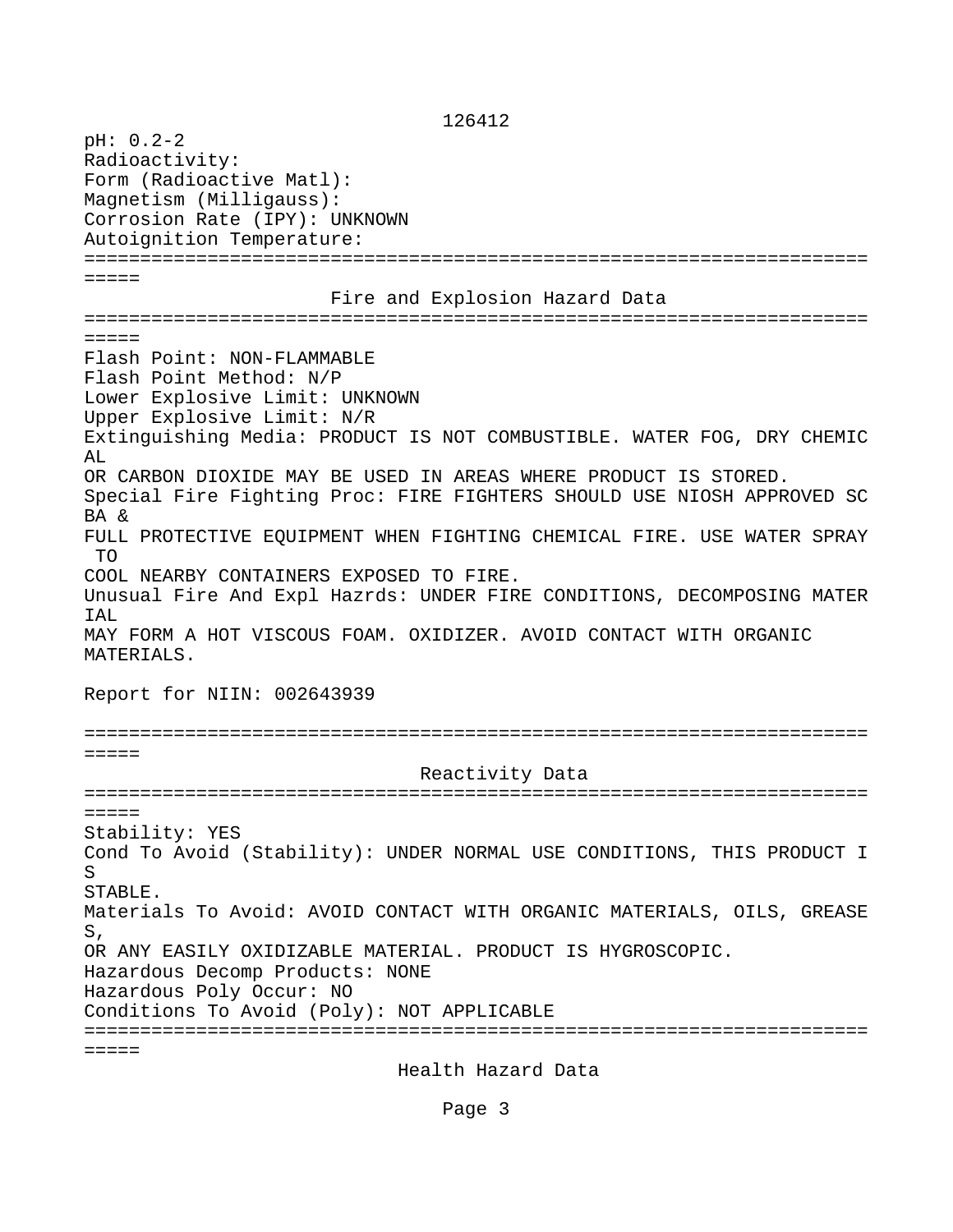126412

pH: 0.2-2 Radioactivity: Form (Radioactive Matl): Magnetism (Milligauss): Corrosion Rate (IPY): UNKNOWN Autoignition Temperature: ====================================================================== ===== Fire and Explosion Hazard Data ======================================================================  $=$   $=$   $=$   $=$ Flash Point: NON-FLAMMABLE Flash Point Method: N/P Lower Explosive Limit: UNKNOWN Upper Explosive Limit: N/R Extinguishing Media: PRODUCT IS NOT COMBUSTIBLE. WATER FOG, DRY CHEMIC A<sub>L</sub> OR CARBON DIOXIDE MAY BE USED IN AREAS WHERE PRODUCT IS STORED. Special Fire Fighting Proc: FIRE FIGHTERS SHOULD USE NIOSH APPROVED SC BA & FULL PROTECTIVE EQUIPMENT WHEN FIGHTING CHEMICAL FIRE. USE WATER SPRAY TO COOL NEARBY CONTAINERS EXPOSED TO FIRE. Unusual Fire And Expl Hazrds: UNDER FIRE CONDITIONS, DECOMPOSING MATER IAL MAY FORM A HOT VISCOUS FOAM. OXIDIZER. AVOID CONTACT WITH ORGANIC MATERIALS. Report for NIIN: 002643939 ======================================================================  $=$  Reactivity Data ======================================================================  $=$   $=$   $=$   $=$ Stability: YES Cond To Avoid (Stability): UNDER NORMAL USE CONDITIONS, THIS PRODUCT I S STABLE. Materials To Avoid: AVOID CONTACT WITH ORGANIC MATERIALS, OILS, GREASE S, OR ANY EASILY OXIDIZABLE MATERIAL. PRODUCT IS HYGROSCOPIC. Hazardous Decomp Products: NONE Hazardous Poly Occur: NO Conditions To Avoid (Poly): NOT APPLICABLE ======================================================================  $=$   $=$   $=$   $=$ Health Hazard Data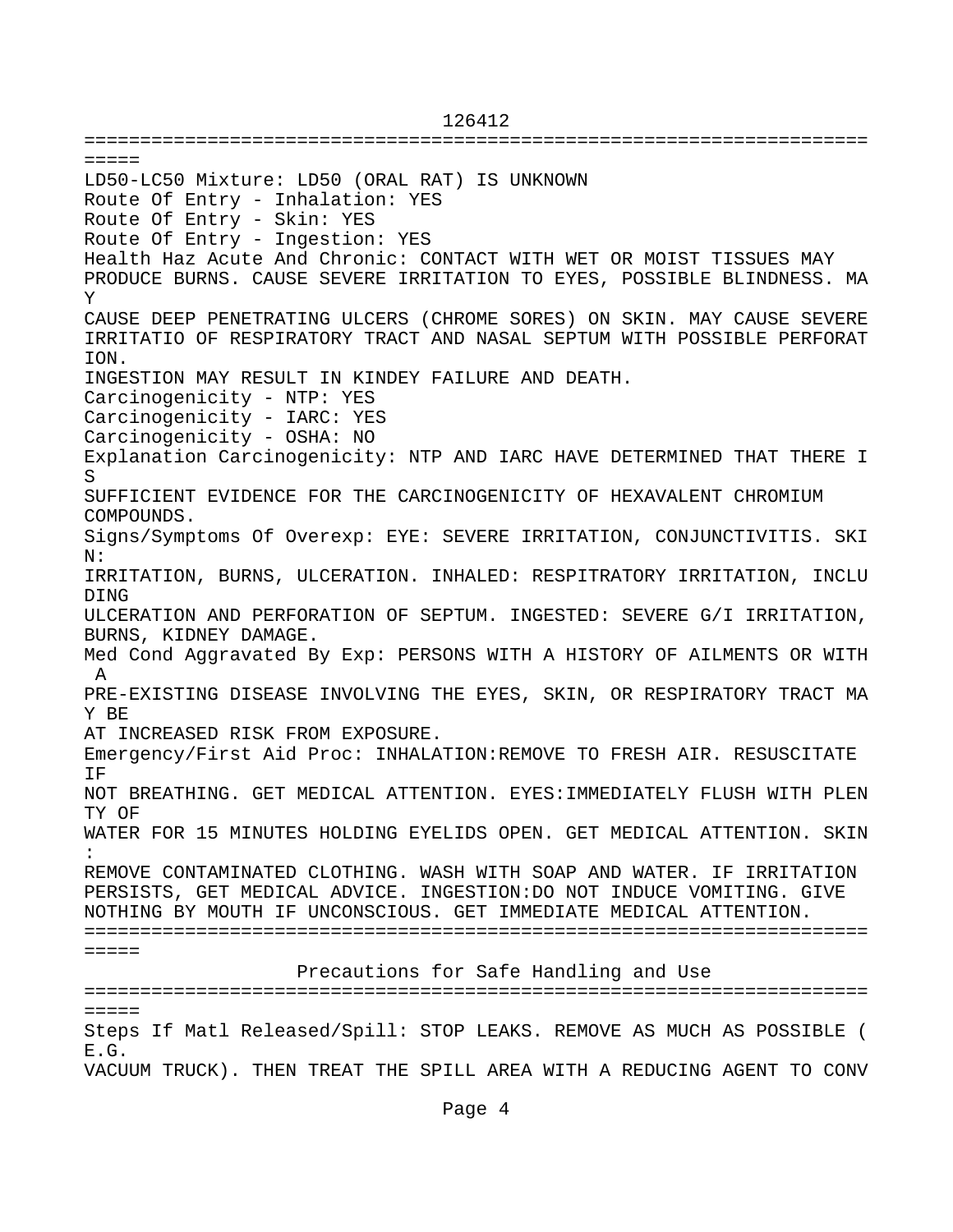======================================================================  $=$ LD50-LC50 Mixture: LD50 (ORAL RAT) IS UNKNOWN Route Of Entry - Inhalation: YES Route Of Entry - Skin: YES Route Of Entry - Ingestion: YES Health Haz Acute And Chronic: CONTACT WITH WET OR MOIST TISSUES MAY PRODUCE BURNS. CAUSE SEVERE IRRITATION TO EYES, POSSIBLE BLINDNESS. MA Y CAUSE DEEP PENETRATING ULCERS (CHROME SORES) ON SKIN. MAY CAUSE SEVERE IRRITATIO OF RESPIRATORY TRACT AND NASAL SEPTUM WITH POSSIBLE PERFORAT ION. INGESTION MAY RESULT IN KINDEY FAILURE AND DEATH. Carcinogenicity - NTP: YES Carcinogenicity - IARC: YES Carcinogenicity - OSHA: NO Explanation Carcinogenicity: NTP AND IARC HAVE DETERMINED THAT THERE I S SUFFICIENT EVIDENCE FOR THE CARCINOGENICITY OF HEXAVALENT CHROMIUM COMPOUNDS. Signs/Symptoms Of Overexp: EYE: SEVERE IRRITATION, CONJUNCTIVITIS. SKI N: IRRITATION, BURNS, ULCERATION. INHALED: RESPITRATORY IRRITATION, INCLU DING ULCERATION AND PERFORATION OF SEPTUM. INGESTED: SEVERE G/I IRRITATION, BURNS, KIDNEY DAMAGE. Med Cond Aggravated By Exp: PERSONS WITH A HISTORY OF AILMENTS OR WITH A PRE-EXISTING DISEASE INVOLVING THE EYES, SKIN, OR RESPIRATORY TRACT MA Y BE AT INCREASED RISK FROM EXPOSURE. Emergency/First Aid Proc: INHALATION:REMOVE TO FRESH AIR. RESUSCITATE IF NOT BREATHING. GET MEDICAL ATTENTION. EYES:IMMEDIATELY FLUSH WITH PLEN TY OF WATER FOR 15 MINUTES HOLDING EYELIDS OPEN. GET MEDICAL ATTENTION. SKIN : REMOVE CONTAMINATED CLOTHING. WASH WITH SOAP AND WATER. IF IRRITATION PERSISTS, GET MEDICAL ADVICE. INGESTION:DO NOT INDUCE VOMITING. GIVE NOTHING BY MOUTH IF UNCONSCIOUS. GET IMMEDIATE MEDICAL ATTENTION. ====================================================================== ===== Precautions for Safe Handling and Use ======================================================================  $=$   $=$   $=$   $=$ Steps If Matl Released/Spill: STOP LEAKS. REMOVE AS MUCH AS POSSIBLE ( E.G.

126412

VACUUM TRUCK). THEN TREAT THE SPILL AREA WITH A REDUCING AGENT TO CONV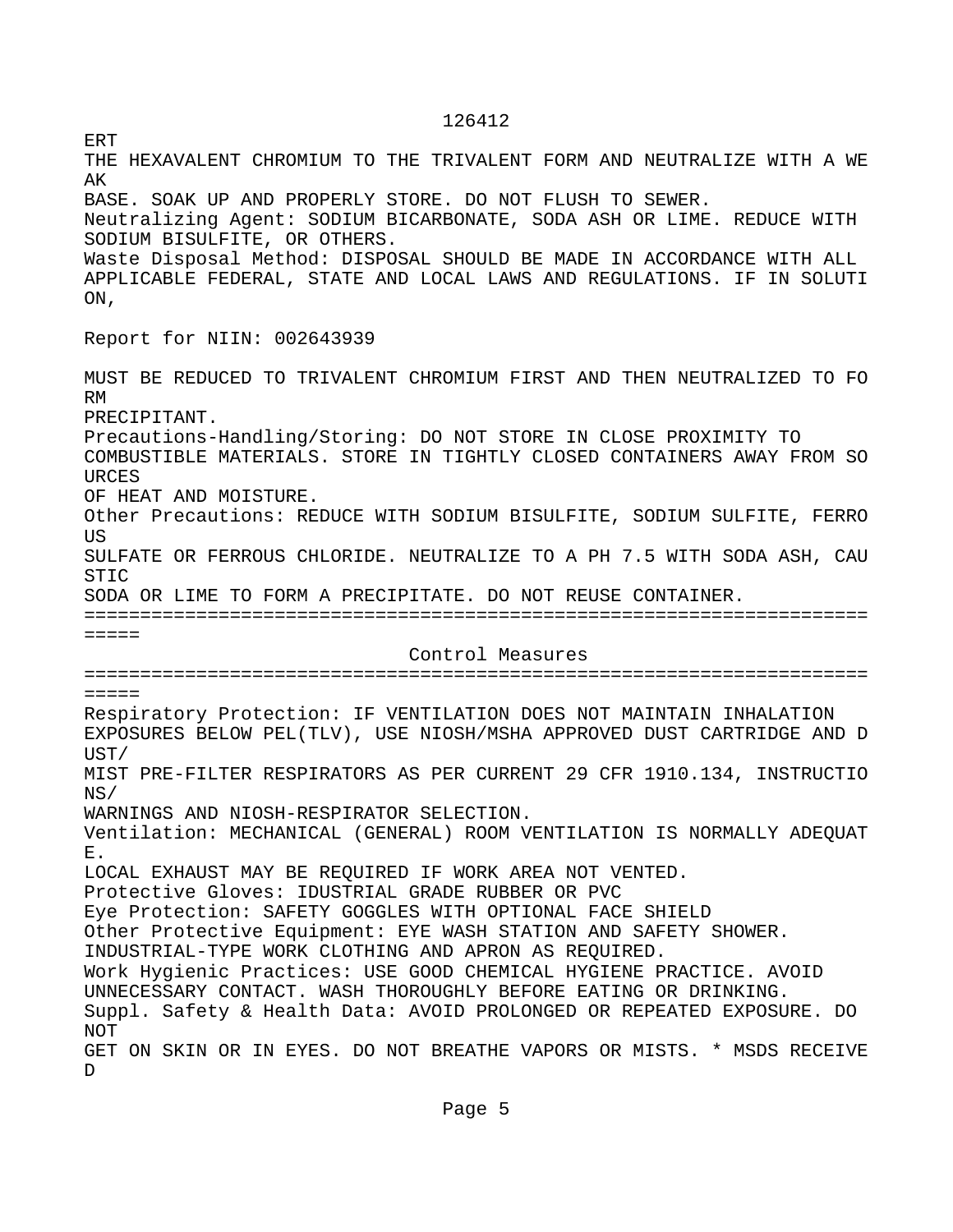126412

ERT THE HEXAVALENT CHROMIUM TO THE TRIVALENT FORM AND NEUTRALIZE WITH A WE AK BASE. SOAK UP AND PROPERLY STORE. DO NOT FLUSH TO SEWER. Neutralizing Agent: SODIUM BICARBONATE, SODA ASH OR LIME. REDUCE WITH SODIUM BISULFITE, OR OTHERS. Waste Disposal Method: DISPOSAL SHOULD BE MADE IN ACCORDANCE WITH ALL APPLICABLE FEDERAL, STATE AND LOCAL LAWS AND REGULATIONS. IF IN SOLUTI ON, Report for NIIN: 002643939 MUST BE REDUCED TO TRIVALENT CHROMIUM FIRST AND THEN NEUTRALIZED TO FO RM PRECIPITANT. Precautions-Handling/Storing: DO NOT STORE IN CLOSE PROXIMITY TO COMBUSTIBLE MATERIALS. STORE IN TIGHTLY CLOSED CONTAINERS AWAY FROM SO **URCES** OF HEAT AND MOISTURE. Other Precautions: REDUCE WITH SODIUM BISULFITE, SODIUM SULFITE, FERRO **TIS** SULFATE OR FERROUS CHLORIDE. NEUTRALIZE TO A PH 7.5 WITH SODA ASH, CAU STIC SODA OR LIME TO FORM A PRECIPITATE. DO NOT REUSE CONTAINER. ====================================================================== ===== Control Measures ======================================================================  $=$   $=$   $=$   $=$ Respiratory Protection: IF VENTILATION DOES NOT MAINTAIN INHALATION EXPOSURES BELOW PEL(TLV), USE NIOSH/MSHA APPROVED DUST CARTRIDGE AND D UST/ MIST PRE-FILTER RESPIRATORS AS PER CURRENT 29 CFR 1910.134, INSTRUCTIO NS/ WARNINGS AND NIOSH-RESPIRATOR SELECTION. Ventilation: MECHANICAL (GENERAL) ROOM VENTILATION IS NORMALLY ADEQUAT E. LOCAL EXHAUST MAY BE REQUIRED IF WORK AREA NOT VENTED. Protective Gloves: IDUSTRIAL GRADE RUBBER OR PVC Eye Protection: SAFETY GOGGLES WITH OPTIONAL FACE SHIELD Other Protective Equipment: EYE WASH STATION AND SAFETY SHOWER. INDUSTRIAL-TYPE WORK CLOTHING AND APRON AS REQUIRED. Work Hygienic Practices: USE GOOD CHEMICAL HYGIENE PRACTICE. AVOID UNNECESSARY CONTACT. WASH THOROUGHLY BEFORE EATING OR DRINKING. Suppl. Safety & Health Data: AVOID PROLONGED OR REPEATED EXPOSURE. DO NOT GET ON SKIN OR IN EYES. DO NOT BREATHE VAPORS OR MISTS. \* MSDS RECEIVE D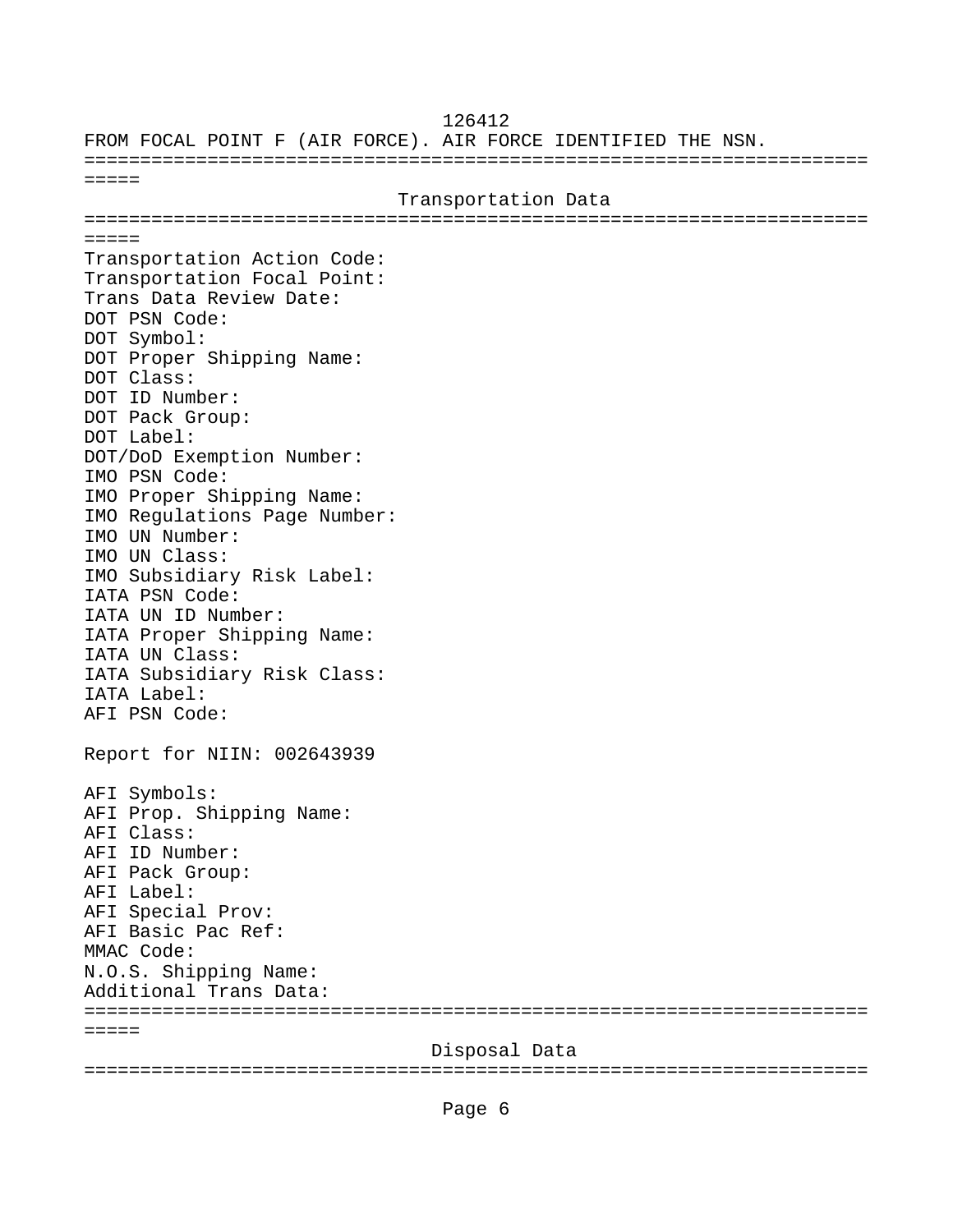FROM FOCAL POINT F (AIR FORCE). AIR FORCE IDENTIFIED THE NSN. ====================================================================== ===== Transportation Data ======================================================================  $=$   $=$   $=$   $=$ Transportation Action Code: Transportation Focal Point: Trans Data Review Date: DOT PSN Code: DOT Symbol: DOT Proper Shipping Name: DOT Class: DOT ID Number: DOT Pack Group: DOT Label: DOT/DoD Exemption Number: IMO PSN Code: IMO Proper Shipping Name: IMO Regulations Page Number: IMO UN Number: IMO UN Class: IMO Subsidiary Risk Label: IATA PSN Code: IATA UN ID Number: IATA Proper Shipping Name: IATA UN Class: IATA Subsidiary Risk Class: IATA Label: AFI PSN Code: Report for NIIN: 002643939 AFI Symbols: AFI Prop. Shipping Name: AFI Class: AFI ID Number: AFI Pack Group: AFI Label: AFI Special Prov: AFI Basic Pac Ref: MMAC Code: N.O.S. Shipping Name: Additional Trans Data: ======================================================================  $=$   $=$   $=$   $=$  Disposal Data ======================================================================

126412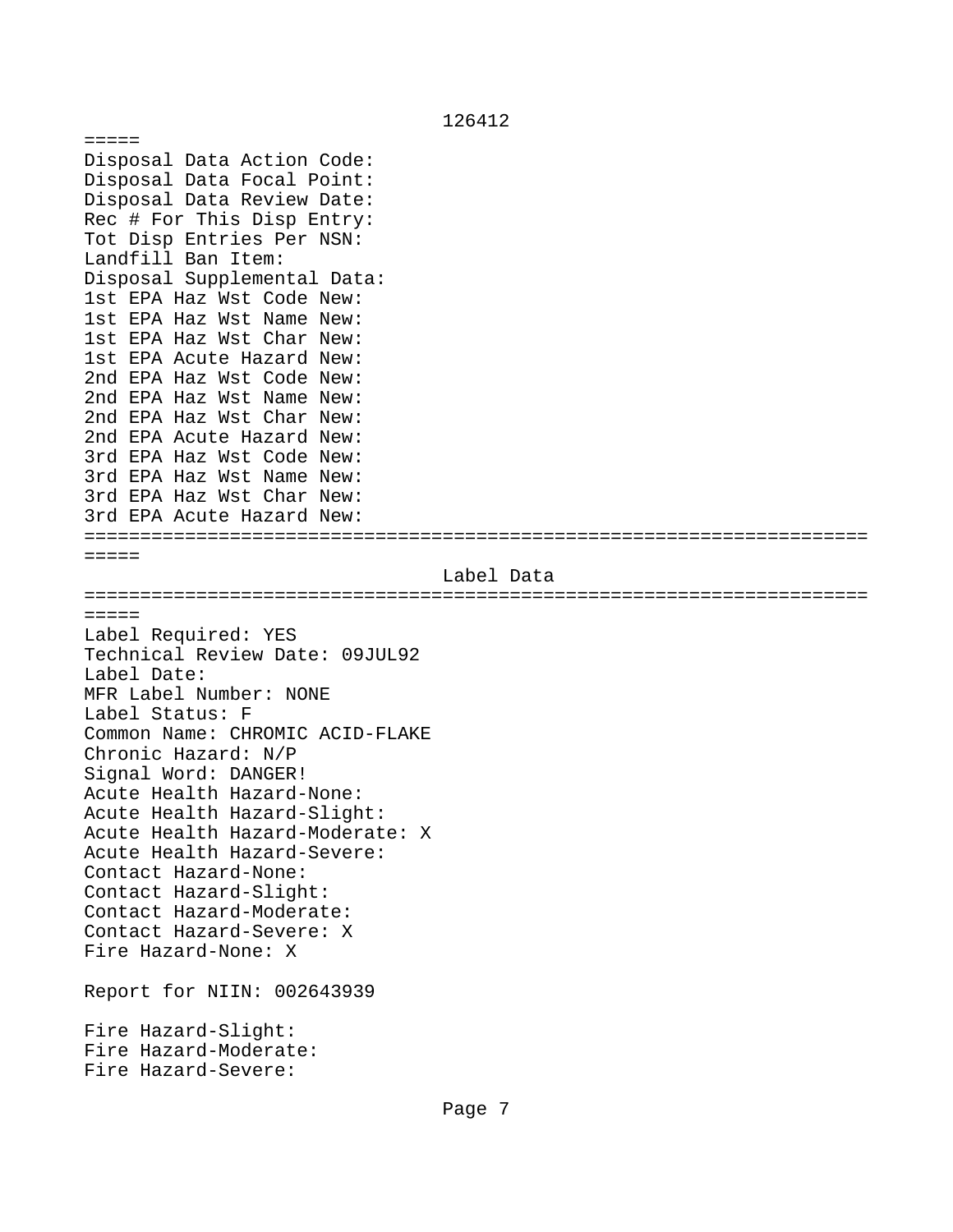===== Disposal Data Action Code: Disposal Data Focal Point: Disposal Data Review Date: Rec # For This Disp Entry: Tot Disp Entries Per NSN: Landfill Ban Item: Disposal Supplemental Data: 1st EPA Haz Wst Code New: 1st EPA Haz Wst Name New: 1st EPA Haz Wst Char New: 1st EPA Acute Hazard New: 2nd EPA Haz Wst Code New: 2nd EPA Haz Wst Name New: 2nd EPA Haz Wst Char New: 2nd EPA Acute Hazard New: 3rd EPA Haz Wst Code New: 3rd EPA Haz Wst Name New: 3rd EPA Haz Wst Char New: 3rd EPA Acute Hazard New: ====================================================================== ===== Label Data ====================================================================== ===== Label Required: YES Technical Review Date: 09JUL92 Label Date: MFR Label Number: NONE Label Status: F Common Name: CHROMIC ACID-FLAKE Chronic Hazard: N/P Signal Word: DANGER! Acute Health Hazard-None: Acute Health Hazard-Slight: Acute Health Hazard-Moderate: X Acute Health Hazard-Severe: Contact Hazard-None: Contact Hazard-Slight: Contact Hazard-Moderate: Contact Hazard-Severe: X Fire Hazard-None: X Report for NIIN: 002643939 Fire Hazard-Slight: Fire Hazard-Moderate: Fire Hazard-Severe:

## 126412